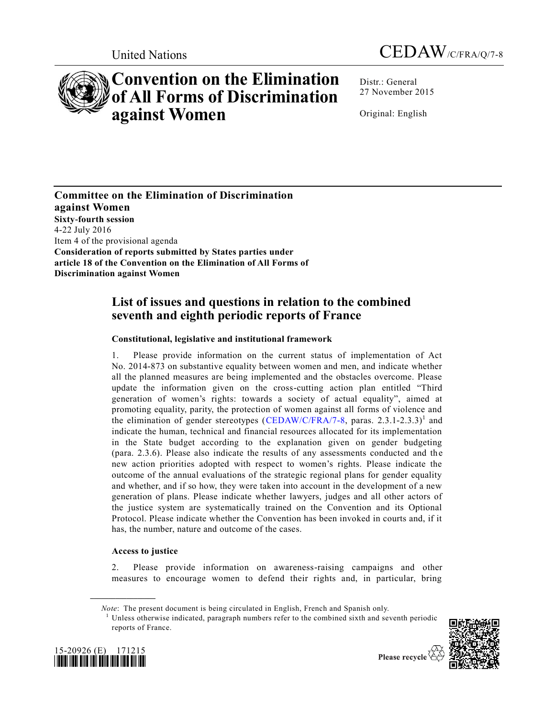

# **Convention on the Elimination of All Forms of Discrimination against Women**

United Nations CEDAW/C/FRA/Q/7-8

Distr.: General 27 November 2015

Original: English

**Committee on the Elimination of Discrimination against Women Sixty-fourth session**  4-22 July 2016 Item 4 of the provisional agenda **Consideration of reports submitted by States parties under article 18 of the Convention on the Elimination of All Forms of Discrimination against Women** 

# **List of issues and questions in relation to the combined seventh and eighth periodic reports of France**

# **Constitutional, legislative and institutional framework**

1. Please provide information on the current status of implementation of Act No. 2014-873 on substantive equality between women and men, and indicate whether all the planned measures are being implemented and the obstacles overcome. Please update the information given on the cross-cutting action plan entitled "Third generation of women's rights: towards a society of actual equality", aimed at promoting equality, parity, the protection of women against all forms of violence and the elimination of gender stereotypes [\(CEDAW/C/FRA/7-8,](http://undocs.org/CEDAW/C/FRA/7) paras. 2.3.1-2.3.3)<sup>1</sup> and indicate the human, technical and financial resources allocated for its implementation in the State budget according to the explanation given on gender budgeting (para. 2.3.6). Please also indicate the results of any assessments conducted and the new action priorities adopted with respect to women's rights. Please indicate the outcome of the annual evaluations of the strategic regional plans for gender equality and whether, and if so how, they were taken into account in the development of a new generation of plans. Please indicate whether lawyers, judges and all other actors of the justice system are systematically trained on the Convention and its Optional Protocol. Please indicate whether the Convention has been invoked in courts and, if it has, the number, nature and outcome of the cases.

# **Access to justice**

**\_\_\_\_\_\_\_\_\_\_\_\_\_\_\_\_\_\_**

2. Please provide information on awareness-raising campaigns and other measures to encourage women to defend their rights and, in particular, bring

*Note*: The present document is being circulated in English, French and Spanish only.

<sup>1</sup> Unless otherwise indicated, paragraph numbers refer to the combined sixth and seventh periodic reports of France.



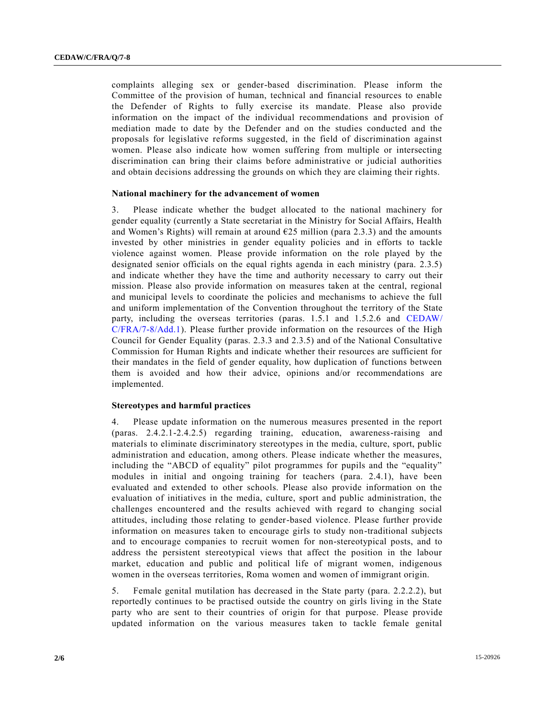complaints alleging sex or gender-based discrimination. Please inform the Committee of the provision of human, technical and financial resources to enable the Defender of Rights to fully exercise its mandate. Please also provide information on the impact of the individual recommendations and provision of mediation made to date by the Defender and on the studies conducted and the proposals for legislative reforms suggested, in the field of discrimination against women. Please also indicate how women suffering from multiple or intersecting discrimination can bring their claims before administrative or judicial authorities and obtain decisions addressing the grounds on which they are claiming their rights.

#### **National machinery for the advancement of women**

3. Please indicate whether the budget allocated to the national machinery for gender equality (currently a State secretariat in the Ministry for Social Affairs, Health and Women's Rights) will remain at around  $E25$  million (para 2.3.3) and the amounts invested by other ministries in gender equality policies and in efforts to tackle violence against women. Please provide information on the role played by the designated senior officials on the equal rights agenda in each ministry (para. 2.3.5) and indicate whether they have the time and authority necessary to carry out their mission. Please also provide information on measures taken at the central, regional and municipal levels to coordinate the policies and mechanisms to achieve the full and uniform implementation of the Convention throughout the territory of the State party, including the overseas territories (paras. 1.5.1 and 1.5.2.6 and [CEDAW/](http://undocs.org/CEDAW/C/FRA/7) [C/FRA/7-8/Add.1\)](http://undocs.org/CEDAW/C/FRA/7). Please further provide information on the resources of the High Council for Gender Equality (paras. 2.3.3 and 2.3.5) and of the National Consultative Commission for Human Rights and indicate whether their resources are sufficient for their mandates in the field of gender equality, how duplication of functions between them is avoided and how their advice, opinions and/or recommendations are implemented.

# **Stereotypes and harmful practices**

4. Please update information on the numerous measures presented in the report (paras. 2.4.2.1-2.4.2.5) regarding training, education, awareness-raising and materials to eliminate discriminatory stereotypes in the media, culture, sport, public administration and education, among others. Please indicate whether the measures, including the "ABCD of equality" pilot programmes for pupils and the "equality" modules in initial and ongoing training for teachers (para. 2.4.1), have been evaluated and extended to other schools. Please also provide information on the evaluation of initiatives in the media, culture, sport and public administration, the challenges encountered and the results achieved with regard to changing social attitudes, including those relating to gender-based violence. Please further provide information on measures taken to encourage girls to study non-traditional subjects and to encourage companies to recruit women for non-stereotypical posts, and to address the persistent stereotypical views that affect the position in the labour market, education and public and political life of migrant women, indigenous women in the overseas territories, Roma women and women of immigrant origin.

5. Female genital mutilation has decreased in the State party (para. 2.2.2.2), but reportedly continues to be practised outside the country on girls living in the State party who are sent to their countries of origin for that purpose. Please provide updated information on the various measures taken to tackle female genital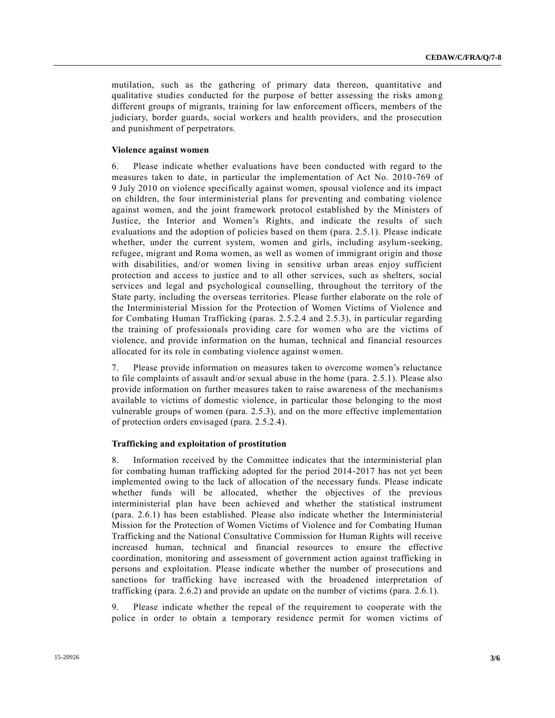mutilation, such as the gathering of primary data thereon, quantitative and qualitative studies conducted for the purpose of better assessing the risks amon g different groups of migrants, training for law enforcement officers, members of the judiciary, border guards, social workers and health providers, and the prosecution and punishment of perpetrators.

# **Violence against women**

6. Please indicate whether evaluations have been conducted with regard to the measures taken to date, in particular the implementation of Act No. 2010 -769 of 9 July 2010 on violence specifically against women, spousal violence and its impact on children, the four interministerial plans for preventing and combating violence against women, and the joint framework protocol established by the Ministers of Justice, the Interior and Women's Rights, and indicate the results of such evaluations and the adoption of policies based on them (para. 2.5.1). Please indicate whether, under the current system, women and girls, including asylum-seeking, refugee, migrant and Roma women, as well as women of immigrant origin and those with disabilities, and/or women living in sensitive urban areas enjoy sufficient protection and access to justice and to all other services, such as shelters, social services and legal and psychological counselling, throughout the territory of the State party, including the overseas territories. Please further elaborate on the role of the Interministerial Mission for the Protection of Women Victims of Violence and for Combating Human Trafficking (paras. 2.5.2.4 and 2.5.3), in particular regarding the training of professionals providing care for women who are the victims of violence, and provide information on the human, technical and financial resources allocated for its role in combating violence against women.

7. Please provide information on measures taken to overcome women's reluctance to file complaints of assault and/or sexual abuse in the home (para. 2.5.1). Please also provide information on further measures taken to raise awareness of the mechanisms available to victims of domestic violence, in particular those belonging to the most vulnerable groups of women (para. 2.5.3), and on the more effective implementation of protection orders envisaged (para. 2.5.2.4).

#### **Trafficking and exploitation of prostitution**

8. Information received by the Committee indicates that the interministerial plan for combating human trafficking adopted for the period 2014-2017 has not yet been implemented owing to the lack of allocation of the necessary funds. Please indicate whether funds will be allocated, whether the objectives of the previous interministerial plan have been achieved and whether the statistical instrument (para. 2.6.1) has been established. Please also indicate whether the Interministerial Mission for the Protection of Women Victims of Violence and for Combating Human Trafficking and the National Consultative Commission for Human Rights will receive increased human, technical and financial resources to ensure the effective coordination, monitoring and assessment of government action against trafficking in persons and exploitation. Please indicate whether the number of prosecutions and sanctions for trafficking have increased with the broadened interpretation of trafficking (para. 2.6.2) and provide an update on the number of victims (para. 2.6.1).

9. Please indicate whether the repeal of the requirement to cooperate with the police in order to obtain a temporary residence permit for women victims of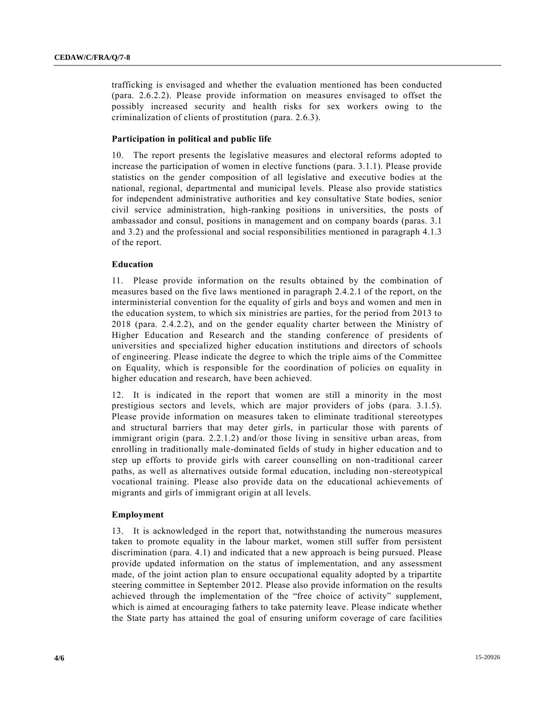trafficking is envisaged and whether the evaluation mentioned has been conducted (para. 2.6.2.2). Please provide information on measures envisaged to offset the possibly increased security and health risks for sex workers owing to the criminalization of clients of prostitution (para. 2.6.3).

# **Participation in political and public life**

10. The report presents the legislative measures and electoral reforms adopted to increase the participation of women in elective functions (para. 3.1.1). Please provide statistics on the gender composition of all legislative and executive bodies at the national, regional, departmental and municipal levels. Please also provide statistics for independent administrative authorities and key consultative State bodies, senior civil service administration, high-ranking positions in universities, the posts of ambassador and consul, positions in management and on company boards (paras. 3.1 and 3.2) and the professional and social responsibilities mentioned in paragraph 4.1.3 of the report.

# **Education**

11. Please provide information on the results obtained by the combination of measures based on the five laws mentioned in paragraph 2.4.2.1 of the report, on the interministerial convention for the equality of girls and boys and women and men in the education system, to which six ministries are parties, for the period from 2013 to 2018 (para. 2.4.2.2), and on the gender equality charter between the Ministry of Higher Education and Research and the standing conference of presidents of universities and specialized higher education institutions and directors of schools of engineering. Please indicate the degree to which the triple aims of the Committee on Equality, which is responsible for the coordination of policies on equality in higher education and research, have been achieved.

12. It is indicated in the report that women are still a minority in the most prestigious sectors and levels, which are major providers of jobs (para. 3.1.5). Please provide information on measures taken to eliminate traditional stereotypes and structural barriers that may deter girls, in particular those with parents of immigrant origin (para. 2.2.1.2) and/or those living in sensitive urban areas, from enrolling in traditionally male-dominated fields of study in higher education and to step up efforts to provide girls with career counselling on non-traditional career paths, as well as alternatives outside formal education, including non-stereotypical vocational training. Please also provide data on the educational achievements of migrants and girls of immigrant origin at all levels.

## **Employment**

13. It is acknowledged in the report that, notwithstanding the numerous measures taken to promote equality in the labour market, women still suffer from persistent discrimination (para. 4.1) and indicated that a new approach is being pursued. Please provide updated information on the status of implementation, and any assessment made, of the joint action plan to ensure occupational equality adopted by a tripartite steering committee in September 2012. Please also provide information on the results achieved through the implementation of the "free choice of activity" supplement, which is aimed at encouraging fathers to take paternity leave. Please indicate whether the State party has attained the goal of ensuring uniform coverage of care facilities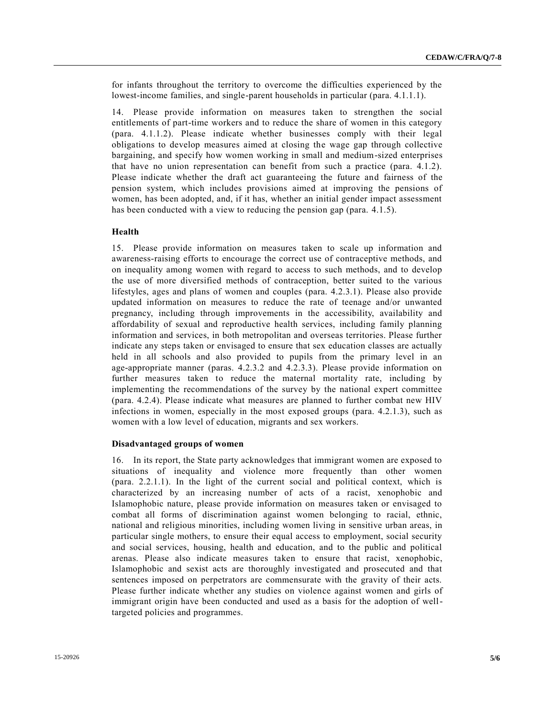for infants throughout the territory to overcome the difficulties experienced by the lowest-income families, and single-parent households in particular (para. 4.1.1.1).

14. Please provide information on measures taken to strengthen the social entitlements of part-time workers and to reduce the share of women in this category (para. 4.1.1.2). Please indicate whether businesses comply with their legal obligations to develop measures aimed at closing the wage gap through collective bargaining, and specify how women working in small and medium-sized enterprises that have no union representation can benefit from such a practice (para. 4.1.2). Please indicate whether the draft act guaranteeing the future and fairness of the pension system, which includes provisions aimed at improving the pensions of women, has been adopted, and, if it has, whether an initial gender impact assessment has been conducted with a view to reducing the pension gap (para. 4.1.5).

### **Health**

15. Please provide information on measures taken to scale up information and awareness-raising efforts to encourage the correct use of contraceptive methods, and on inequality among women with regard to access to such methods, and to develop the use of more diversified methods of contraception, better suited to the various lifestyles, ages and plans of women and couples (para. 4.2.3.1). Please also provide updated information on measures to reduce the rate of teenage and/or unwanted pregnancy, including through improvements in the accessibility, availability and affordability of sexual and reproductive health services, including family planning information and services, in both metropolitan and overseas territories. Please further indicate any steps taken or envisaged to ensure that sex education classes are actually held in all schools and also provided to pupils from the primary level in an age-appropriate manner (paras. 4.2.3.2 and 4.2.3.3). Please provide information on further measures taken to reduce the maternal mortality rate, including by implementing the recommendations of the survey by the national expert committee (para. 4.2.4). Please indicate what measures are planned to further combat new HIV infections in women, especially in the most exposed groups (para. 4.2.1.3), such as women with a low level of education, migrants and sex workers.

#### **Disadvantaged groups of women**

16. In its report, the State party acknowledges that immigrant women are exposed to situations of inequality and violence more frequently than other women (para. 2.2.1.1). In the light of the current social and political context, which is characterized by an increasing number of acts of a racist, xenophobic and Islamophobic nature, please provide information on measures taken or envisaged to combat all forms of discrimination against women belonging to racial, ethnic, national and religious minorities, including women living in sensitive urban areas, in particular single mothers, to ensure their equal access to employment, social security and social services, housing, health and education, and to the public and political arenas. Please also indicate measures taken to ensure that racist, xenophobic, Islamophobic and sexist acts are thoroughly investigated and prosecuted and that sentences imposed on perpetrators are commensurate with the gravity of their acts. Please further indicate whether any studies on violence against women and girls of immigrant origin have been conducted and used as a basis for the adoption of welltargeted policies and programmes.